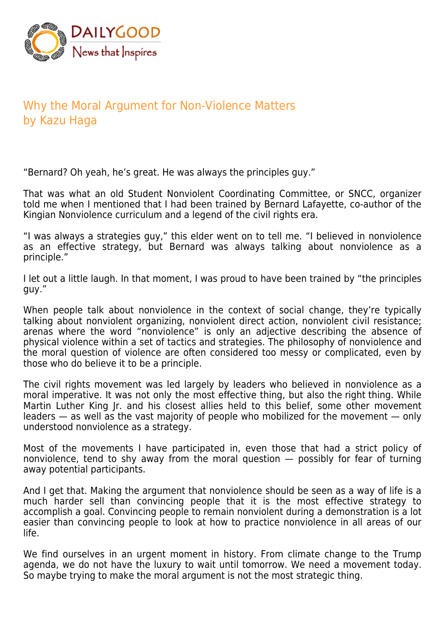

## Why the Moral Argument for Non-Violence Matters by Kazu Haga

"Bernard? Oh yeah, he's great. He was always the principles guy."

That was what an old Student Nonviolent Coordinating Committee, or SNCC, organizer told me when I mentioned that I had been trained by Bernard Lafayette, co-author of the Kingian Nonviolence curriculum and a legend of the civil rights era.

"I was always a strategies guy," this elder went on to tell me. "I believed in nonviolence as an effective strategy, but Bernard was always talking about nonviolence as a principle."

I let out a little laugh. In that moment, I was proud to have been trained by "the principles guy."

When people talk about nonviolence in the context of social change, they're typically talking about nonviolent organizing, nonviolent direct action, nonviolent civil resistance; arenas where the word "nonviolence" is only an adjective describing the absence of physical violence within a set of tactics and strategies. The philosophy of nonviolence and the moral question of violence are often considered too messy or complicated, even by those who do believe it to be a principle.

The civil rights movement was led largely by leaders who believed in nonviolence as a moral imperative. It was not only the most effective thing, but also the right thing. While Martin Luther King Jr. and his closest allies held to this belief, some other movement leaders — as well as the vast majority of people who mobilized for the movement — only understood nonviolence as a strategy.

Most of the movements I have participated in, even those that had a strict policy of nonviolence, tend to shy away from the moral question — possibly for fear of turning away potential participants.

And I get that. Making the argument that nonviolence should be seen as a way of life is a much harder sell than convincing people that it is the most effective strategy to accomplish a goal. Convincing people to remain nonviolent during a demonstration is a lot easier than convincing people to look at how to practice nonviolence in all areas of our life.

We find ourselves in an urgent moment in history. From climate change to the Trump agenda, we do not have the luxury to wait until tomorrow. We need a movement today. So maybe trying to make the moral argument is not the most strategic thing.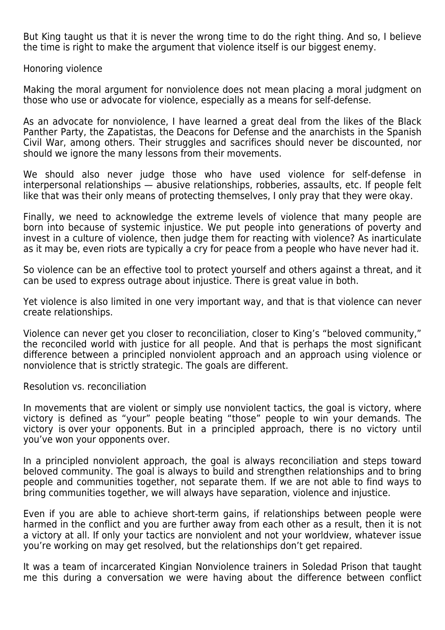But King taught us that it is never the wrong time to do the right thing. And so, I believe the time is right to make the argument that violence itself is our biggest enemy.

Honoring violence

Making the moral argument for nonviolence does not mean placing a moral judgment on those who use or advocate for violence, especially as a means for self-defense.

As an advocate for nonviolence, I have learned a great deal from the likes of the Black Panther Party, the Zapatistas, the Deacons for Defense and the anarchists in the Spanish Civil War, among others. Their struggles and sacrifices should never be discounted, nor should we ignore the many lessons from their movements.

We should also never judge those who have used violence for self-defense in interpersonal relationships — abusive relationships, robberies, assaults, etc. If people felt like that was their only means of protecting themselves, I only pray that they were okay.

Finally, we need to acknowledge the extreme levels of violence that many people are born into because of systemic injustice. We put people into generations of poverty and invest in a culture of violence, then judge them for reacting with violence? As inarticulate as it may be, even riots are typically a cry for peace from a people who have never had it.

So violence can be an effective tool to protect yourself and others against a threat, and it can be used to express outrage about injustice. There is great value in both.

Yet violence is also limited in one very important way, and that is that violence can never create relationships.

Violence can never get you closer to reconciliation, closer to King's "beloved community," the reconciled world with justice for all people. And that is perhaps the most significant difference between a principled nonviolent approach and an approach using violence or nonviolence that is strictly strategic. The goals are different.

Resolution vs. reconciliation

In movements that are violent or simply use nonviolent tactics, the goal is victory, where victory is defined as "your" people beating "those" people to win your demands. The victory is over your opponents. But in a principled approach, there is no victory until you've won your opponents over.

In a principled nonviolent approach, the goal is always reconciliation and steps toward beloved community. The goal is always to build and strengthen relationships and to bring people and communities together, not separate them. If we are not able to find ways to bring communities together, we will always have separation, violence and injustice.

Even if you are able to achieve short-term gains, if relationships between people were harmed in the conflict and you are further away from each other as a result, then it is not a victory at all. If only your tactics are nonviolent and not your worldview, whatever issue you're working on may get resolved, but the relationships don't get repaired.

It was a team of incarcerated Kingian Nonviolence trainers in Soledad Prison that taught me this during a conversation we were having about the difference between conflict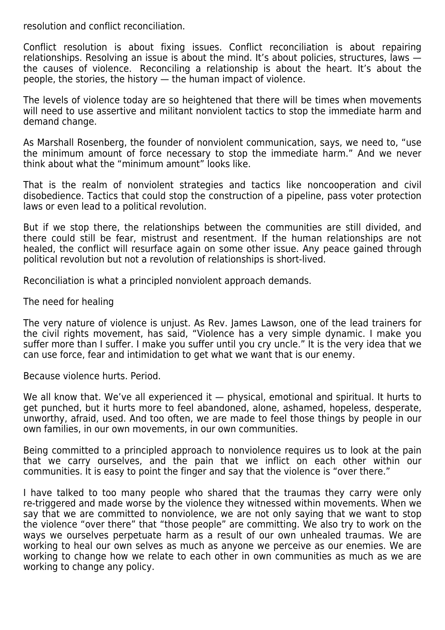resolution and conflict reconciliation.

Conflict resolution is about fixing issues. Conflict reconciliation is about repairing relationships. Resolving an issue is about the mind. It's about policies, structures, laws  $$ the causes of violence. Reconciling a relationship is about the heart. It's about the people, the stories, the history — the human impact of violence.

The levels of violence today are so heightened that there will be times when movements will need to use assertive and militant nonviolent tactics to stop the immediate harm and demand change.

As Marshall Rosenberg, the founder of nonviolent communication, says, we need to, "use the minimum amount of force necessary to stop the immediate harm." And we never think about what the "minimum amount" looks like.

That is the realm of nonviolent strategies and tactics like noncooperation and civil disobedience. Tactics that could stop the construction of a pipeline, pass voter protection laws or even lead to a political revolution.

But if we stop there, the relationships between the communities are still divided, and there could still be fear, mistrust and resentment. If the human relationships are not healed, the conflict will resurface again on some other issue. Any peace gained through political revolution but not a revolution of relationships is short-lived.

Reconciliation is what a principled nonviolent approach demands.

The need for healing

The very nature of violence is unjust. As Rev. James Lawson, one of the lead trainers for the civil rights movement, has said, "Violence has a very simple dynamic. I make you suffer more than I suffer. I make you suffer until you cry uncle." It is the very idea that we can use force, fear and intimidation to get what we want that is our enemy.

Because violence hurts. Period.

We all know that. We've all experienced it — physical, emotional and spiritual. It hurts to get punched, but it hurts more to feel abandoned, alone, ashamed, hopeless, desperate, unworthy, afraid, used. And too often, we are made to feel those things by people in our own families, in our own movements, in our own communities.

Being committed to a principled approach to nonviolence requires us to look at the pain that we carry ourselves, and the pain that we inflict on each other within our communities. It is easy to point the finger and say that the violence is "over there."

I have talked to too many people who shared that the traumas they carry were only re-triggered and made worse by the violence they witnessed within movements. When we say that we are committed to nonviolence, we are not only saying that we want to stop the violence "over there" that "those people" are committing. We also try to work on the ways we ourselves perpetuate harm as a result of our own unhealed traumas. We are working to heal our own selves as much as anyone we perceive as our enemies. We are working to change how we relate to each other in own communities as much as we are working to change any policy.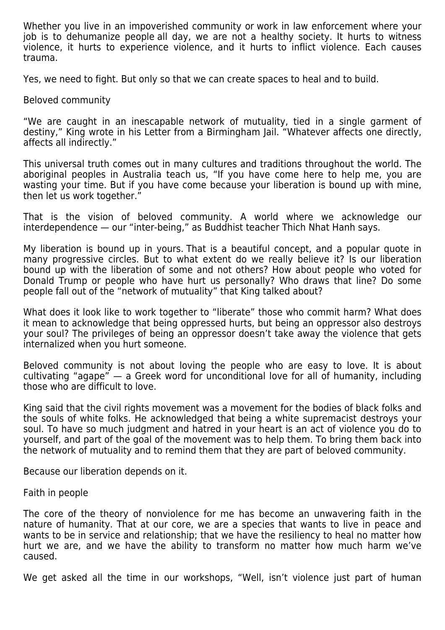Whether you live in an impoverished community or work in law enforcement where your job is to dehumanize people all day, we are not a healthy society. It hurts to witness violence, it hurts to experience violence, and it hurts to inflict violence. Each causes trauma.

Yes, we need to fight. But only so that we can create spaces to heal and to build.

Beloved community

"We are caught in an inescapable network of mutuality, tied in a single garment of destiny," King wrote in his Letter from a Birmingham Jail. "Whatever affects one directly, affects all indirectly."

This universal truth comes out in many cultures and traditions throughout the world. The aboriginal peoples in Australia teach us, "If you have come here to help me, you are wasting your time. But if you have come because your liberation is bound up with mine, then let us work together."

That is the vision of beloved community. A world where we acknowledge our interdependence — our "inter-being," as Buddhist teacher Thich Nhat Hanh says.

My liberation is bound up in yours. That is a beautiful concept, and a popular quote in many progressive circles. But to what extent do we really believe it? Is our liberation bound up with the liberation of some and not others? How about people who voted for Donald Trump or people who have hurt us personally? Who draws that line? Do some people fall out of the "network of mutuality" that King talked about?

What does it look like to work together to "liberate" those who commit harm? What does it mean to acknowledge that being oppressed hurts, but being an oppressor also destroys your soul? The privileges of being an oppressor doesn't take away the violence that gets internalized when you hurt someone.

Beloved community is not about loving the people who are easy to love. It is about cultivating "agape" — a Greek word for unconditional love for all of humanity, including those who are difficult to love.

King said that the civil rights movement was a movement for the bodies of black folks and the souls of white folks. He acknowledged that being a white supremacist destroys your soul. To have so much judgment and hatred in your heart is an act of violence you do to yourself, and part of the goal of the movement was to help them. To bring them back into the network of mutuality and to remind them that they are part of beloved community.

Because our liberation depends on it.

Faith in people

The core of the theory of nonviolence for me has become an unwavering faith in the nature of humanity. That at our core, we are a species that wants to live in peace and wants to be in service and relationship; that we have the resiliency to heal no matter how hurt we are, and we have the ability to transform no matter how much harm we've caused.

We get asked all the time in our workshops, "Well, isn't violence just part of human